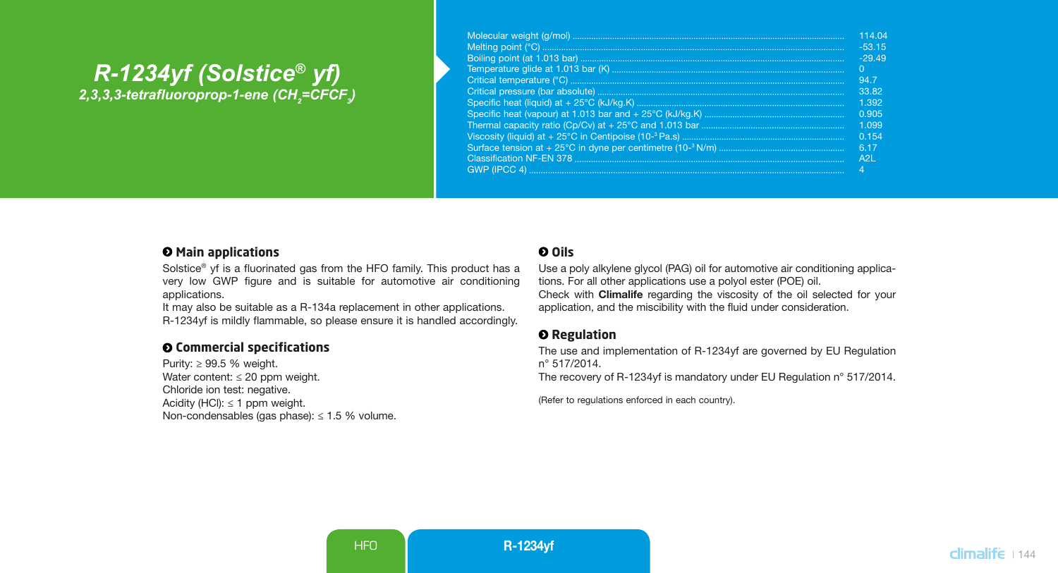# *R-1234yf (Solstice® yf) 2,3,3,3-tetrafluoroprop-1-ene (CH2 =CFCF3 )*

| 114.04         |
|----------------|
| $-53.15$       |
| $-29.49$       |
| $\Omega$       |
| 94.7           |
| 33.82          |
| 1.392          |
| 0.905          |
| 1099           |
| 0.154          |
| 6.17           |
| A2L            |
| $\overline{4}$ |

#### $\Theta$  Main applications

Solstice® yf is a fluorinated gas from the HFO family. This product has a very low GWP figure and is suitable for automotive air conditioning applications.

It may also be suitable as a R-134a replacement in other applications. R-1234yf is mildly flammable, so please ensure it is handled accordingly.

### **Commercial specifications**

Purity:  $\geq 99.5$  % weight. Water content:  $\leq 20$  ppm weight. Chloride ion test: negative. Acidity (HCl):  $\leq$  1 ppm weight. Non-condensables (gas phase): ≤ 1.5 % volume.

### **Oils**

Use a poly alkylene glycol (PAG) oil for automotive air conditioning applications. For all other applications use a polyol ester (POE) oil. Check with Climalife regarding the viscosity of the oil selected for your application, and the miscibility with the fluid under consideration.

### **Q** Regulation

The use and implementation of R-1234yf are governed by EU Regulation n° 517/2014.

The recovery of R-1234yf is mandatory under EU Regulation n° 517/2014.

(Refer to regulations enforced in each country).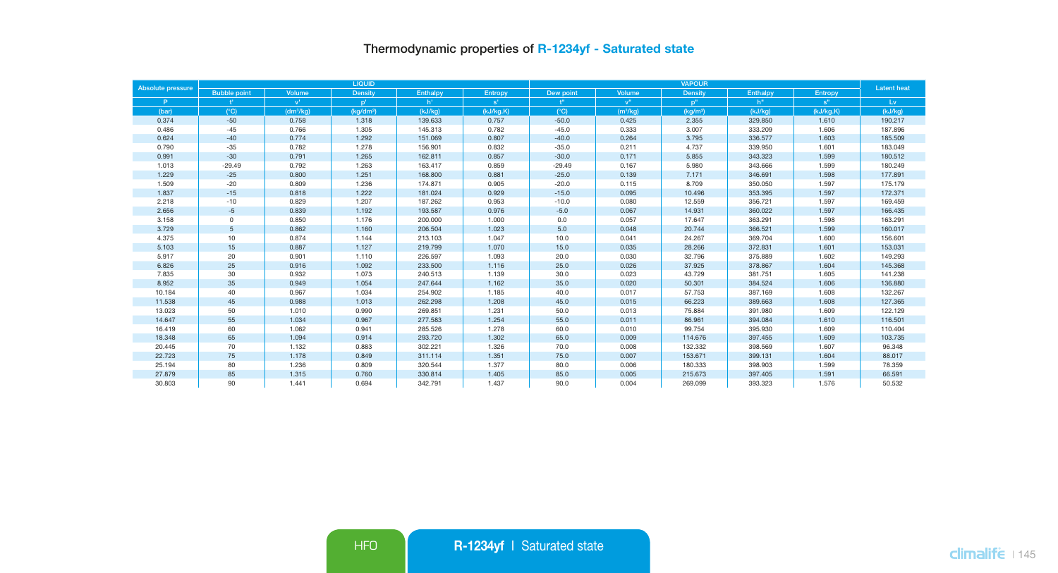## Thermodynamic properties of R-1234yf - Saturated state

| Absolute pressure |                     |                           | LIQUID                |                |           |               | <b>Latent heat</b> |                      |                |                 |         |
|-------------------|---------------------|---------------------------|-----------------------|----------------|-----------|---------------|--------------------|----------------------|----------------|-----------------|---------|
|                   | <b>Bubble point</b> | Volume                    | <b>Density</b>        | Enthalpy       | Entropy   | Dew point     | Volume             | <b>Density</b>       | Enthalpy       | Entropy         |         |
| P.                |                     | $\mathbf{v}^{\mathsf{t}}$ | $D^{\prime}$          | h <sup>+</sup> | $s^*$     |               | $v^{\mu}$          | $D^{\prime\prime}$   | h <sup>n</sup> | s <sup>  </sup> | Lv      |
| (bar)             | $(^{\circ}C)$       | (dm <sup>3</sup> /ka)     | (kg/dm <sup>3</sup> ) | (kJ/kg)        | (kJ/kg.K) | $(^{\circ}C)$ | $(m^3/kg)$         | (kq/m <sup>3</sup> ) | (kJ/kg)        | (kJ/kg.K)       | (kJ/kg) |
| 0.374             | $-50$               | 0.758                     | 1.318                 | 139,633        | 0.757     | $-50.0$       | 0.425              | 2.355                | 329,850        | 1.610           | 190.217 |
| 0.486             | $-45$               | 0.766                     | 1.305                 | 145,313        | 0.782     | $-45.0$       | 0.333              | 3.007                | 333.209        | 1.606           | 187,896 |
| 0.624             | $-40$               | 0.774                     | 1.292                 | 151.069        | 0.807     | $-40.0$       | 0.264              | 3.795                | 336,577        | 1.603           | 185,509 |
| 0.790             | $-35$               | 0.782                     | 1.278                 | 156.901        | 0.832     | $-35.0$       | 0.211              | 4.737                | 339,950        | 1.601           | 183.049 |
| 0.991             | $-30$               | 0.791                     | 1.265                 | 162,811        | 0.857     | $-30.0$       | 0.171              | 5,855                | 343,323        | 1.599           | 180,512 |
| 1.013             | $-29.49$            | 0.792                     | 1.263                 | 163,417        | 0.859     | $-29.49$      | 0.167              | 5.980                | 343,666        | 1.599           | 180.249 |
| 1.229             | $-25$               | 0.800                     | 1.251                 | 168,800        | 0.881     | $-25.0$       | 0.139              | 7.171                | 346,691        | 1.598           | 177,891 |
| 1.509             | $-20$               | 0.809                     | 1.236                 | 174,871        | 0.905     | $-20.0$       | 0.115              | 8.709                | 350,050        | 1.597           | 175,179 |
| 1.837             | $-15$               | 0.818                     | 1.222                 | 181.024        | 0.929     | $-15.0$       | 0.095              | 10.496               | 353.395        | 1.597           | 172.371 |
| 2.218             | $-10$               | 0.829                     | 1.207                 | 187.262        | 0.953     | $-10.0$       | 0.080              | 12.559               | 356.721        | 1.597           | 169.459 |
| 2.656             | $-5$                | 0.839                     | 1.192                 | 193,587        | 0.976     | $-5.0$        | 0.067              | 14,931               | 360,022        | 1.597           | 166,435 |
| 3.158             | $\Omega$            | 0.850                     | 1.176                 | 200,000        | 1.000     | 0.0           | 0.057              | 17,647               | 363.291        | 1.598           | 163,291 |
| 3.729             | 5                   | 0.862                     | 1.160                 | 206,504        | 1.023     | 5.0           | 0.048              | 20,744               | 366,521        | 1.599           | 160,017 |
| 4,375             | 10                  | 0.874                     | 1.144                 | 213,103        | 1.047     | 10.0          | 0.041              | 24.267               | 369,704        | 1.600           | 156,601 |
| 5.103             | 15                  | 0.887                     | 1.127                 | 219.799        | 1.070     | 15.0          | 0.035              | 28.266               | 372.831        | 1.601           | 153.031 |
| 5.917             | 20                  | 0.901                     | 1.110                 | 226.597        | 1.093     | 20.0          | 0.030              | 32.796               | 375.889        | 1.602           | 149.293 |
| 6,826             | 25                  | 0.916                     | 1.092                 | 233,500        | 1.116     | 25.0          | 0.026              | 37,925               | 378,867        | 1.604           | 145,368 |
| 7,835             | 30                  | 0.932                     | 1.073                 | 240,513        | 1.139     | 30.0          | 0.023              | 43.729               | 381.751        | 1.605           | 141.238 |
| 8.952             | 35                  | 0.949                     | 1.054                 | 247.644        | 1.162     | 35.0          | 0.020              | 50.301               | 384,524        | 1.606           | 136,880 |
| 10.184            | 40                  | 0.967                     | 1.034                 | 254.902        | 1.185     | 40.0          | 0.017              | 57.753               | 387.169        | 1.608           | 132.267 |
| 11.538            | 45                  | 0.988                     | 1.013                 | 262.298        | 1.208     | 45.0          | 0.015              | 66.223               | 389.663        | 1.608           | 127.365 |
| 13.023            | 50                  | 1.010                     | 0.990                 | 269,851        | 1.231     | 50.0          | 0.013              | 75,884               | 391.980        | 1,609           | 122.129 |
| 14,647            | 55                  | 1.034                     | 0.967                 | 277,583        | 1.254     | 55.0          | 0.011              | 86,961               | 394.084        | 1,610           | 116,501 |
| 16.419            | 60                  | 1.062                     | 0.941                 | 285.526        | 1.278     | 60.0          | 0.010              | 99.754               | 395,930        | 1,609           | 110,404 |
| 18,348            | 65                  | 1.094                     | 0.914                 | 293.720        | 1.302     | 65.0          | 0.009              | 114.676              | 397.455        | 1.609           | 103,735 |
| 20.445            | 70                  | 1.132                     | 0.883                 | 302.221        | 1.326     | 70.0          | 0.008              | 132.332              | 398.569        | 1.607           | 96.348  |
| 22,723            | 75                  | 1.178                     | 0.849                 | 311.114        | 1.351     | 75.0          | 0.007              | 153.671              | 399.131        | 1.604           | 88.017  |
| 25.194            | 80                  | 1.236                     | 0.809                 | 320,544        | 1.377     | 80.0          | 0.006              | 180,333              | 398,903        | 1.599           | 78,359  |
| 27,879            | 85                  | 1.315                     | 0.760                 | 330,814        | 1.405     | 85.0          | 0.005              | 215,673              | 397,405        | 1.591           | 66,591  |
| 30,803            | 90                  | 1.441                     | 0.694                 | 342.791        | 1.437     | 90.0          | 0.004              | 269,099              | 393,323        | 1.576           | 50.532  |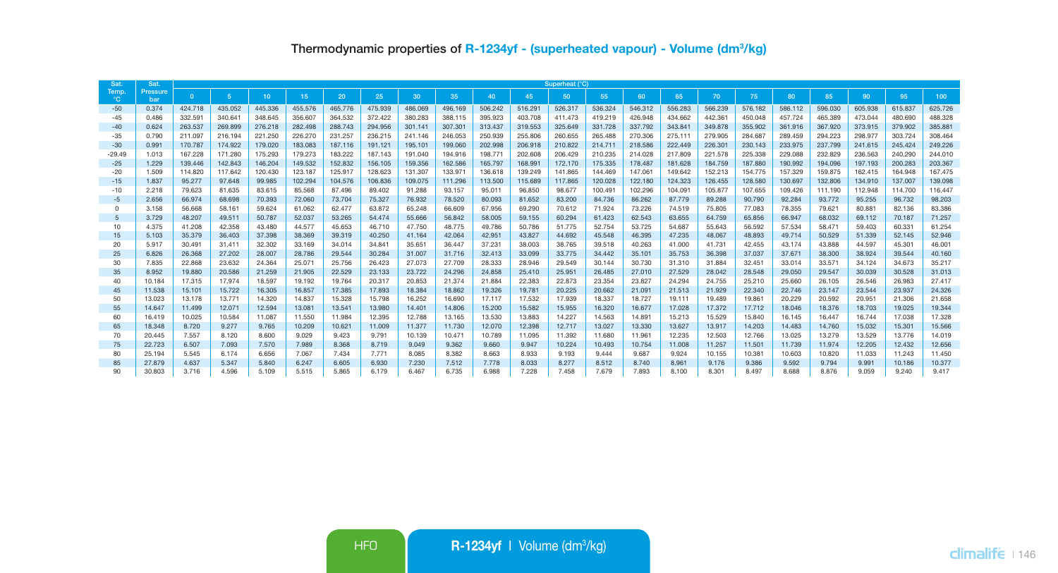| Sat.                  | Sat.             | Superheat (°C)  |                 |                  |                  |                  |                  |                  |                  |                  |                  |                  |                  |                  |                  |                  |                  |                  |                  |                  |                  |                  |
|-----------------------|------------------|-----------------|-----------------|------------------|------------------|------------------|------------------|------------------|------------------|------------------|------------------|------------------|------------------|------------------|------------------|------------------|------------------|------------------|------------------|------------------|------------------|------------------|
| Temp.<br>$^{\circ}$ C | Pressure<br>bar  | $\overline{0}$  | 5 <sup>1</sup>  | 10 <sup>1</sup>  | 15 <sub>1</sub>  | 20               | 25               | 30               | 35 <sup>2</sup>  | 40               | 45               | 50               | 55               | 60               | 65               | 70               | 75               | 80               | 85               | 90               | 95               | 100              |
| $-50$                 | 0.374            | 424,718         | 435.052         | 445,336          | 455.576          | 465,776          | 475,939          | 486,069          | 496.169          | 506.242          | 516.291          | 526,317          | 536,324          | 546,312          | 556,283          | 566,239          | 576,182          | 586,112          | 596,030          | 605,938          | 615,837          | 625,726          |
| $-45$                 | 0.486            | 332.591         | 340.641         | 348,645          | 356,607          | 364,532          | 372.422          | 380.283          | 388.115          | 395,923          | 403.708          | 411.473          | 419,219          | 426,948          | 434.662          | 442.361          | 450.048          | 457.724          | 465,389          | 473.044          | 480,690          | 488.328          |
| $-40$                 | 0.624            | 263,537         | 269,899         | 276,218          | 282,498          | 288.743          | 294.956          | 301.141          | 307.301          | 313,437          | 319.553          | 325.649          | 331,728          | 337,792          | 343,841          | 349,878          | 355,902          | 361,916          | 367,920          | 373,915          | 379,902          | 385,881          |
| $-35$                 | 0.790            | 211.097         | 216,194         | 221.250          | 226.270          | 231.257          | 236.215          | 241.146          | 246,053          | 250,939          | 255,806          | 260.655          | 265,488          | 270,306          | 275.111          | 279,905          | 284,687          | 289.459          | 294.223          | 298,977          | 303,724          | 308,464          |
| $-30$                 | 0.991            | 170,787         | 174,922         | 179,020          | 183,083          | 187,116          | 191.121          | 195.101          | 199,060          | 202.998          | 206.918          | 210,822          | 214,711          | 218,586          | 222,449          | 226,301          | 230.143          | 233.975          | 237,799          | 241.615          | 245,424          | 249,226          |
| $-29.49$              | 1.013            | 167.228         | 171.280         | 175,293          | 179.273          | 183,222          | 187.143          | 191.040          | 194.916          | 198,771          | 202,608          | 206,429          | 210.235          | 214.028          | 217,809          | 221.578          | 225,338          | 229.088          | 232.829          | 236,563          | 240,290          | 244.010          |
| $-25$                 | 1.229            | 139,446         | 142,843         | 146,204          | 149,532          | 152,832          | 156,105          | 159,356          | 162,586          | 165,797          | 168.991          | 172,170          | 175,335          | 178,487          | 181.628          | 184,759          | 187,880          | 190.992          | 194.096          | 197.193          | 200,283          | 203,367          |
| $-20$                 | 1,509            | 114,820         | 117.642         | 120.430          | 123.187          | 125.917          | 128,623          | 131.307          | 133,971          | 136,618          | 139,249          | 141.865          | 144.469          | 147.061          | 149,642          | 152,213          | 154,775          | 157,329          | 159,875          | 162,415          | 164,948          | 167.475          |
| $-15$                 | 1.837            | 95,277          | 97.648          | 99.985           | 102.294          | 104.576          | 106,836          | 109.075          | 111.296          | 113,500          | 115,689          | 117,865          | 120.028          | 122.180          | 124,323          | 126.455          | 128,580          | 130.697          | 132,806          | 134,910          | 137,007          | 139,098          |
| $-10$                 | 2.218            | 79.623          | 81.635          | 83.615           | 85.568           | 87,496           | 89,402           | 91.288           | 93.157           | 95.011           | 96.850           | 98,677           | 100.491          | 102.296          | 104.091          | 105,877          | 107.655          | 109.426          | 111.190          | 112,948          | 114,700          | 116,447          |
| $-5$                  | 2.656            | 66,974          | 68,698          | 70.393           | 72,060           | 73.704           | 75,327           | 76,932           | 78.520           | 80.093           | 81.652           | 83,200           | 84,736           | 86.262           | 87,779           | 89.288           | 90.790           | 92.284           | 93,772           | 95.255           | 96.732           | 98,203           |
| $\Omega$              | 3.158            | 56,668          | 58.161          | 59.624           | 61.062           | 62.477           | 63.872           | 65.248           | 66.609           | 67,956           | 69.290           | 70.612           | 71.924           | 73.226           | 74.519           | 75.805           | 77,083           | 78.355           | 79.621           | 80.881           | 82.136           | 83.386           |
| 5                     | 3.729            | 48.207          | 49.511          | 50,787           | 52.037           | 53.265           | 54,474           | 55,666           | 56,842           | 58,005           | 59.155           | 60.294           | 61.423           | 62.543           | 63.655           | 64.759           | 65.856           | 66,947           | 68.032           | 69.112           | 70.187           | 71.257           |
| 10                    | 4.375            | 41,208          | 42,358          | 43,480           | 44.577           | 45.653           | 46,710           | 47,750           | 48.775           | 49.786           | 50.786           | 51,775           | 52.754           | 53,725           | 54.687           | 55.643           | 56,592           | 57.534           | 58,471           | 59,403           | 60,331           | 61.254           |
| 15                    | 5.103            | 35,379          | 36,403          | 37,398           | 38.369           | 39,319           | 40,250           | 41.164           | 42.064           | 42.951           | 43.827           | 44,692           | 45.548           | 46.395           | 47.235           | 48.067           | 48,893           | 49.714           | 50.529           | 51.339           | 52.145           | 52,946           |
| 20                    | 5.917            | 30.491          | 31.411          | 32.302           | 33.169           | 34,014           | 34.841           | 35,651           | 36.447           | 37,231           | 38,003           | 38.765           | 39.518           | 40.263           | 41.000           | 41.731           | 42,455           | 43.174           | 43,888           | 44.597           | 45.301           | 46.001           |
| 25                    | 6,826            | 26,368          | 27,202          | 28,007           | 28,786           | 29.544           | 30,284           | 31,007           | 31,716           | 32,413           | 33.099           | 33,775           | 34,442           | 35,101           | 35,753           | 36,398           | 37.037           | 37.671           | 38,300           | 38.924           | 39.544           | 40.160           |
| 30                    | 7,835            | 22,868          | 23,632          | 24.364           | 25.071           | 25,756           | 26,423           | 27,073           | 27,709           | 28,333           | 28,946           | 29.549           | 30.144           | 30,730           | 31,310           | 31.884           | 32.451           | 33.014           | 33,571           | 34.124           | 34,673           | 35.217           |
| 35                    | 8.952            | 19.880          | 20,586          | 21.259           | 21,905           | 22.529           | 23.133           | 23,722           | 24.296           | 24,858           | 25.410           | 25.951           | 26,485           | 27,010           | 27.529           | 28.042           | 28,548           | 29,050           | 29,547           | 30.039           | 30.528           | 31.013           |
| 40                    | 10.184           | 17.315          | 17.974          | 18.597           | 19.192           | 19,764           | 20.317           | 20,853           | 21.374           | 21,884           | 22.383           | 22.873           | 23.354           | 23,827           | 24.294           | 24.755           | 25.210           | 25,660           | 26,105           | 26,546           | 26,983           | 27.417           |
| 45                    | 11.538           | 15,101          | 15,722          | 16,305           | 16,857           | 17,385           | 17,893           | 18,384           | 18,862           | 19.326           | 19,781           | 20.225           | 20.662           | 21,091           | 21.513           | 21.929           | 22,340           | 22,746           | 23.147           | 23.544           | 23.937           | 24.326           |
| 50<br>55              | 13,023           | 13,178          | 13,771          | 14,320<br>12.594 | 14,837<br>13,081 | 15.328<br>13,541 | 15,798           | 16.252<br>14,401 | 16,690<br>14,806 | 17.117           | 17.532<br>15.582 | 17,939           | 18,337           | 18.727<br>16,677 | 19.111           | 19,489<br>17,372 | 19,861<br>17.712 | 20.229           | 20.592<br>18,376 | 20.951<br>18,703 | 21.306<br>19.025 | 21.658<br>19,344 |
|                       | 14,647           | 11,499          | 12.071          |                  |                  |                  | 13,980           | 12.788           | 13.165           | 15,200           |                  | 15.955           | 16.320           |                  | 17.028           | 15,529           |                  | 18.046           |                  | 16.744           |                  | 17,328           |
| 60<br>65              | 16,419<br>18,348 | 10.025<br>8.720 | 10.584<br>9.277 | 11.087<br>9.765  | 11,550<br>10.209 | 11,984<br>10.621 | 12,395<br>11,009 | 11,377           | 11,730           | 13,530<br>12,070 | 13,883<br>12.398 | 14.227<br>12,717 | 14.563<br>13.027 | 14.891<br>13,330 | 15,213<br>13.627 | 13.917           | 15,840<br>14.203 | 16.145<br>14,483 | 16,447<br>14,760 | 15.032           | 17.038<br>15.301 | 15,566           |
| 70                    | 20,445           | 7.557           | 8.120           | 8,600            | 9.029            | 9.423            | 9.791            | 10.139           | 10.471           | 10.789           | 11.095           | 11.392           | 11.680           | 11,961           | 12.235           | 12,503           | 12,766           | 13.025           | 13,279           | 13.529           | 13,776           | 14.019           |
| 75                    | 22,723           | 6,507           | 7.093           | 7.570            | 7.989            | 8.368            | 8.719            | 9.049            | 9.362            | 9,660            | 9.947            | 10.224           | 10.493           | 10.754           | 11,008           | 11.257           | 11,501           | 11.739           | 11.974           | 12.205           | 12.432           | 12.656           |
| 80                    | 25.194           | 5.545           | 6.174           | 6.656            | 7.067            | 7.434            | 7.771            | 8.085            | 8.382            | 8.663            | 8.933            | 9.193            | 9.444            | 9.687            | 9.924            | 10.155           | 10.381           | 10.603           | 10,820           | 11.033           | 11.243           | 11.450           |
| 85                    | 27,879           | 4.637           | 5.347           | 5.840            | 6.247            | 6.605            | 6.930            | 7.230            | 7.512            | 7.778            | 8.033            | 8.277            | 8.512            | 8.740            | 8.961            | 9.176            | 9.386            | 9.592            | 9.794            | 9.991            | 10.186           | 10.377           |
| 90                    | 30.803           | 3.716           | 4.596           | 5.109            | 5.515            | 5.865            | 6.179            | 6.467            | 6.735            | 6,988            | 7.228            | 7.458            | 7.679            | 7.893            | 8.100            | 8.301            | 8.497            | 8.688            | 8.876            | 9.059            | 9.240            | 9.417            |
|                       |                  |                 |                 |                  |                  |                  |                  |                  |                  |                  |                  |                  |                  |                  |                  |                  |                  |                  |                  |                  |                  |                  |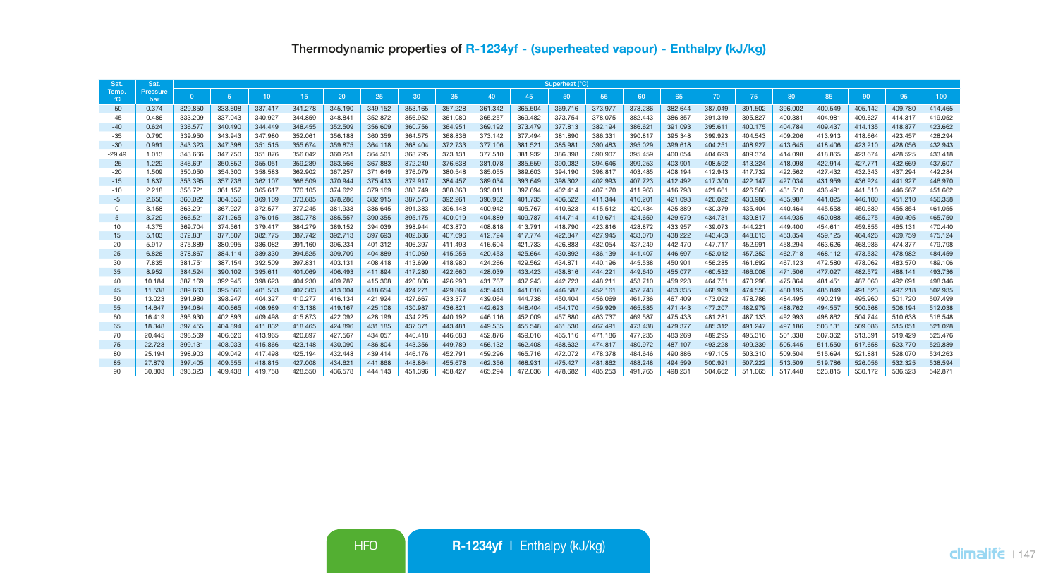| Sat.        | Sat.            | Superheat (°C) |                |                 |                 |         |         |         |         |         |         |         |         |         |         |         |         |         |         |         |         |         |
|-------------|-----------------|----------------|----------------|-----------------|-----------------|---------|---------|---------|---------|---------|---------|---------|---------|---------|---------|---------|---------|---------|---------|---------|---------|---------|
| Temp.<br>°С | Pressure<br>bar | $\mathbf{0}$   | 5 <sup>1</sup> | 10 <sup>1</sup> | 15 <sub>1</sub> | 20      | 25      | 30      | 35      | 40      | 45      | 50      | 55      | 60      | 65      | 70      | 75      | 80      | 85      | 90      | 95      | 100     |
| $-50$       | 0.374           | 329,850        | 333,608        | 337,417         | 341,278         | 345.190 | 349.152 | 353.165 | 357,228 | 361.342 | 365,504 | 369,716 | 373,977 | 378,286 | 382,644 | 387,049 | 391.502 | 396.002 | 400.549 | 405.142 | 409,780 | 414.465 |
| $-45$       | 0.486           | 333,209        | 337,043        | 340.927         | 344.859         | 348,841 | 352,872 | 356.952 | 361,080 | 365.257 | 369,482 | 373,754 | 378,075 | 382,443 | 386,857 | 391.319 | 395,827 | 400.381 | 404.981 | 409.627 | 414,317 | 419.052 |
| $-40$       | 0.624           | 336,577        | 340,490        | 344,449         | 348,455         | 352,509 | 356,609 | 360,756 | 364.951 | 369.192 | 373,479 | 377,813 | 382.194 | 386,621 | 391.093 | 395,611 | 400.175 | 404,784 | 409,437 | 414.135 | 418,877 | 423.662 |
| $-35$       | 0.790           | 339,950        | 343,943        | 347,980         | 352.061         | 356,188 | 360,359 | 364,575 | 368,836 | 373.142 | 377,494 | 381,890 | 386,331 | 390.817 | 395,348 | 399,923 | 404.543 | 409,206 | 413,913 | 418.664 | 423.457 | 428.294 |
| $-30$       | 0.991           | 343.323        | 347.398        | 351.515         | 355.674         | 359.875 | 364,118 | 368.404 | 372.733 | 377,106 | 381.521 | 385,981 | 390.483 | 395.029 | 399,618 | 404.251 | 408.927 | 413,645 | 418,406 | 423.210 | 428,056 | 432.943 |
| $-29.49$    | 1.013           | 343,666        | 347,750        | 351,876         | 356.042         | 360,251 | 364,501 | 368,795 | 373.131 | 377,510 | 381.932 | 386,398 | 390,907 | 395.459 | 400.054 | 404.693 | 409,374 | 414.098 | 418,865 | 423.674 | 428.525 | 433,418 |
| $-25$       | 1.229           | 346,691        | 350,852        | 355.051         | 359.289         | 363,566 | 367,883 | 372,240 | 376,638 | 381,078 | 385,559 | 390.082 | 394.646 | 399,253 | 403.901 | 408,592 | 413.324 | 418,098 | 422.914 | 427,771 | 432.669 | 437,607 |
| $-20$       | 1.509           | 350.050        | 354,300        | 358,583         | 362.902         | 367,257 | 371,649 | 376,079 | 380,548 | 385,055 | 389,603 | 394,190 | 398,817 | 403.485 | 408.194 | 412.943 | 417.732 | 422.562 | 427.432 | 432.343 | 437.294 | 442.284 |
| $-15$       | 1.837           | 353.395        | 357.736        | 362,107         | 366,509         | 370,944 | 375.413 | 379,917 | 384,457 | 389,034 | 393,649 | 398,302 | 402.993 | 407.723 | 412,492 | 417,300 | 422.147 | 427.034 | 431.959 | 436.924 | 441.927 | 446,970 |
| $-10$       | 2.218           | 356,721        | 361.157        | 365,617         | 370.105         | 374,622 | 379.169 | 383,749 | 388,363 | 393.011 | 397.694 | 402.414 | 407.170 | 411.963 | 416,793 | 421.661 | 426,566 | 431.510 | 436.491 | 441.510 | 446,567 | 451.662 |
| $-5$        | 2.656           | 360.022        | 364.556        | 369.109         | 373,685         | 378,286 | 382.915 | 387.573 | 392.261 | 396,982 | 401.735 | 406,522 | 411.344 | 416,201 | 421.093 | 426.022 | 430.986 | 435.987 | 441.025 | 446,100 | 451.210 | 456,358 |
| 0           | 3.158           | 363.291        | 367.927        | 372,577         | 377,245         | 381,933 | 386,645 | 391.383 | 396.148 | 400.942 | 405,767 | 410.623 | 415.512 | 420,434 | 425.389 | 430,379 | 435.404 | 440,464 | 445.558 | 450,689 | 455.854 | 461.055 |
| 5           | 3.729           | 366.521        | 371.265        | 376,015         | 380.778         | 385,557 | 390.355 | 395.175 | 400.019 | 404,889 | 409.787 | 414,714 | 419.671 | 424,659 | 429.679 | 434.731 | 439.817 | 444.935 | 450.088 | 455.275 | 460,495 | 465.750 |
| 10          | 4.375           | 369,704        | 374,561        | 379.417         | 384.279         | 389.152 | 394.039 | 398,944 | 403,870 | 408.818 | 413,791 | 418,790 | 423,816 | 428.872 | 433.957 | 439.073 | 444.221 | 449,400 | 454,611 | 459,855 | 465.131 | 470,440 |
| 15          | 5.103           | 372.831        | 377,807        | 382,775         | 387.742         | 392.713 | 397.693 | 402.686 | 407.696 | 412,724 | 417,774 | 422.847 | 427,945 | 433,070 | 438.222 | 443,403 | 448,613 | 453.854 | 459.125 | 464.426 | 469,759 | 475.124 |
| 20          | 5.917           | 375,889        | 380,995        | 386,082         | 391.160         | 396.234 | 401.312 | 406.397 | 411.493 | 416,604 | 421.733 | 426.883 | 432.054 | 437.249 | 442,470 | 447.717 | 452.991 | 458.294 | 463.626 | 468,986 | 474,377 | 479,798 |
| 25          | 6.826           | 378,867        | 384,114        | 389,330         | 394.525         | 399,709 | 404.889 | 410.069 | 415.256 | 420,453 | 425.664 | 430.892 | 436,139 | 441,407 | 446,697 | 452.012 | 457.352 | 462,718 | 468.112 | 473.532 | 478.982 | 484,459 |
| 30          | 7.835           | 381.751        | 387.154        | 392.509         | 397.831         | 403.131 | 408,418 | 413,699 | 418,980 | 424.266 | 429.562 | 434.871 | 440.196 | 445,538 | 450,901 | 456,285 | 461.692 | 467.123 | 472,580 | 478.062 | 483,570 | 489.106 |
| 35          | 8.952           | 384,524        | 390.102        | 395.611         | 401.069         | 406.493 | 411.894 | 417.280 | 422,660 | 428,039 | 433,423 | 438,816 | 444.221 | 449,640 | 455.077 | 460,532 | 466,008 | 471,506 | 477.027 | 482.572 | 488.141 | 493,736 |
| 40          | 10.184          | 387.169        | 392.945        | 398,623         | 404.230         | 409.787 | 415,308 | 420,806 | 426,290 | 431.767 | 437.243 | 442.723 | 448,211 | 453,710 | 459.223 | 464.751 | 470.298 | 475.864 | 481.451 | 487.060 | 492.691 | 498.346 |
| 45          | 11,538          | 389.663        | 395,666        | 401.533         | 407.303         | 413,004 | 418.654 | 424.271 | 429,864 | 435,443 | 441.016 | 446,587 | 452.161 | 457,743 | 463,335 | 468,939 | 474,558 | 480.195 | 485.849 | 491.523 | 497.218 | 502.935 |
| 50          | 13,023          | 391,980        | 398.247        | 404.327         | 410.277         | 416.134 | 421.924 | 427.667 | 433,377 | 439,064 | 444,738 | 450.404 | 456,069 | 461.736 | 467,409 | 473.092 | 478.786 | 484.495 | 490.219 | 495.960 | 501.720 | 507.499 |
| 55          | 14,647          | 394.084        | 400.665        | 406,989         | 413.138         | 419.167 | 425.108 | 430.987 | 436,821 | 442.623 | 448,404 | 454,170 | 459,929 | 465,685 | 471,443 | 477,207 | 482.979 | 488.762 | 494.557 | 500.368 | 506,194 | 512.038 |
| 60          | 16,419          | 395.930        | 402.893        | 409.498         | 415.873         | 422.092 | 428.199 | 434.225 | 440.192 | 446.116 | 452.009 | 457.880 | 463.737 | 469,587 | 475,433 | 481.281 | 487.133 | 492.993 | 498.862 | 504.744 | 510,638 | 516,548 |
| 65          | 18,348          | 397.455        | 404.894        | 411.832         | 418.465         | 424.896 | 431.185 | 437.371 | 443,481 | 449,535 | 455.548 | 461.530 | 467,491 | 473,438 | 479,377 | 485,312 | 491.247 | 497.186 | 503.131 | 509,086 | 515,051 | 521.028 |
| 70          | 20,445          | 398,569        | 406.626        | 413.965         | 420.897         | 427.567 | 434.057 | 440,418 | 446.683 | 452.876 | 459,016 | 465.116 | 471.186 | 477.235 | 483.269 | 489.295 | 495,316 | 501.338 | 507.362 | 513,391 | 519,429 | 525,476 |
| 75          | 22,723          | 399.131        | 408.033        | 415,866         | 423.148         | 430.090 | 436,804 | 443.356 | 449.789 | 456.132 | 462,408 | 468,632 | 474,817 | 480,972 | 487,107 | 493,228 | 499,339 | 505,445 | 511,550 | 517.658 | 523,770 | 529,889 |
| 80          | 25.194          | 398,903        | 409.042        | 417.498         | 425.194         | 432,448 | 439.414 | 446.176 | 452.791 | 459.296 | 465.716 | 472.072 | 478,378 | 484.646 | 490,886 | 497.105 | 503,310 | 509,504 | 515,694 | 521.881 | 528,070 | 534.263 |
| 85          | 27,879          | 397.405        | 409.555        | 418.815         | 427.008         | 434.621 | 441.868 | 448.864 | 455,678 | 462,356 | 468.931 | 475,427 | 481.862 | 488,248 | 494,599 | 500.921 | 507,222 | 513,509 | 519,786 | 526.056 | 532.325 | 538,594 |
| 90          | 30,803          | 393.323        | 409.438        | 419.758         | 428.550         | 436.578 | 444.143 | 451.396 | 458.427 | 465.294 | 472.036 | 478.682 | 485.253 | 491.765 | 498.231 | 504.662 | 511.065 | 517.448 | 523.815 | 530.172 | 536.523 | 542.871 |